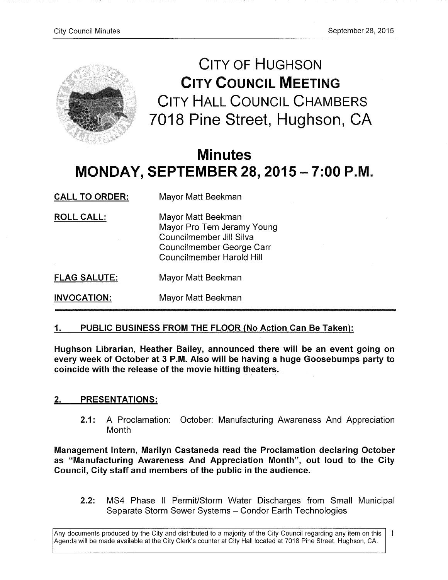

CITY OF HUGHSON **CITY COUNCIL MEETING** CITY HALL COUNCIL CHAMBERS 7018 Pine Street, Hughson, CA

# **Minutes MONDAY, SEPTEMBER 28, 2015**-7**:00 P.M.**

| <b>CALL TO ORDER:</b> | Mayor Matt Beekman                                                                                                                     |
|-----------------------|----------------------------------------------------------------------------------------------------------------------------------------|
| <b>ROLL CALL:</b>     | Mayor Matt Beekman<br>Mayor Pro Tem Jeramy Young<br>Councilmember Jill Silva<br>Councilmember George Carr<br>Councilmember Harold Hill |
| <b>FLAG SALUTE:</b>   | Mayor Matt Beekman                                                                                                                     |
| <b>INVOCATION:</b>    | Mayor Matt Beekman                                                                                                                     |

## **1 • PUBLIC BUSINESS FROM THE FLOOR (No Action Can Be Taken):**

**Hughson Librarian, Heather Bailey, announced there will be an event going on every week of October at 3 P.M. Also will be having a huge Goosebumps party to**  coincide with the release of the movie hitting theaters.

## **2. PRESENTATIONS:**

**2.1:** A Proclamation: October: Manufacturing Awareness And Appreciation Month

**Management Intern, Marilyn Castaneda read the Proclamation declaring October as "Manufacturing Awareness And Appreciation Month", out loud to the City Council, City staff and members of the public in the audience.** 

**2.2:** MS4 Phase II Permit/Storm Water Discharges from Small Municipal Separate Storm Sewer Systems - Condor Earth Technologies

Any documents produced by the City and distributed to a majority of the City Council regarding any item on this  $\vert$  1 Agenda will be made available at the City Clerk's counter at City Hall located at 7018 Pine Street, Hughson, CA.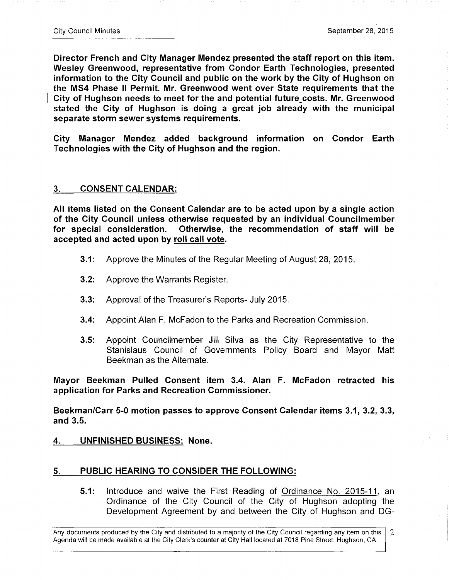**Director French and City Manager Mendez presented the staff report on this item. Wesley Greenwood, representative from Condor Earth Technologies, presented information to the City Council and public on the work by the City of Hughson on the MS4 Phase II Permit. Mr. Greenwood went over State requirements that the**  City of Hughson needs to meet for the and potential future costs. Mr. Greenwood **stated the City of Hughson is doing a great job already with the municipal separate storm sewer systems requirements.** 

**City Manager Mendez added background information on Condor Earth Technologies with the City of Hughson and the region.** 

#### **3. CONSENT CALENDAR:**

**All items listed on the Consent Calendar are to be acted upon by a single action of the City Council unless otherwise requested by an individual Councilmember for special consideration. Otherwise, the recommendation of staff will be accepted and acted upon by roll call vote.** 

- **3.1:** Approve the Minutes of the Regular Meeting of August 28, 2015.
- **3.2:** Approve the Warrants Register.
- **3.3:** Approval of the Treasurer's Reports- July 2015.
- **3.4:** Appoint Alan F. McFadon to the Parks and Recreation Commission.
- **3.5:** Appoint Councilmember Jill Silva as the City Representative to the Stanislaus Council of Governments Policy Board and Mayor Matt Beekman as the Alternate.

**Mayor Beekman Pulled Consent item 3.4. Alan F. McFadon retracted his application for Parks and Recreation Commissioner.** 

**Beekman/Carr 5-0 motion passes to approve Consent Calendar items 3.1, 3.2, 3.3, and 3.5.** 

**4. UNFINISHED BUSINESS: None.** 

#### **PUBLIC HEARING TO CONSIDER THE FOLLOWING:**  5.

5.1: Introduce and waive the First Reading of Ordinance No. 2015-11, an Ordinance of the City Council of the City of Hughson adopting the Development Agreement by and between the City of Hughson and DG-

Any documents produced by the City and distributed to a majority of the City Council regarding any item on this 2 Agenda will be made available at the City Clerk's counter at City Hall located at 7018 Pine Street, Hughson, CA.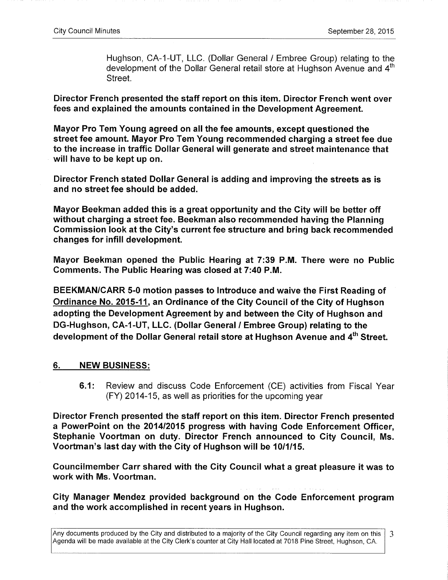Hughson, CA-1-UT, LLC. (Dollar General / Embree Group) relating to the development of the Dollar General retail store at Hughson Avenue and 4<sup>th</sup> Street.

**Director French presented the staff report on this item. Director French went over fees and explained the amounts contained in the Development Agreement.** 

**Mayor Pro Tem Young agreed on all the fee amounts, except questioned the street fee amount. Mayor Pro Tem Young recommended charging a street fee due to the increase in traffic Dollar General will generate and street maintenance that will have to be kept up on.** 

**Director French stated Dollar General is adding and improving the streets as is and no street fee should be added.** 

**Mayor Beekman added this is a great opportunity and the City will be better off without charging a street fee. Beekman also recommended having the Planning Commission look at the City's current fee structure and bring back recommended changes for infill development.** 

**Mayor Beekman opened the Public Hearing at 7:39 P.M. There were no Public Comments. The Public Hearing was closed at 7:40 P.M.** 

**BEEKMAN/CARR 5-0 motion passes to Introduce and waive the First Reading of Ordinance No. 2015-11. an Ordinance of the City Council of the City of Hughson adopting the Development Agreement by and between the City of Hughson and DG-Hughson, CA-l-UT, LLC. (Dollar General / Embree Group) relating to the**  development of the Dollar General retail store at Hughson Avenue and 4<sup>th</sup> Street.

## **6. NEW BUSINESS:**

**6.1:** Review and discuss Code Enforcement (CE) activities from Fiscal Year  $(FY)$  2014-15, as well as priorities for the upcoming year

**Director French presented the staff report on this item. Director French presented a PowerPoint on the 2014/2015 progress with having Code Enforcement Officer, Stephanie Voortman on duty. Director French announced to City Council, Ms. Voortman's last day with the City of Hughson will be 10/1/15.** 

**Councilmember Carr shared with the City Council what a great pleasure it was to work with Ms. Voortman.** 

**City Manager Mendez provided background on the Code Enforcement program and the work accomplished in recent years in Hughson.** 

Any documents produced by the City and distributed to a majority of the City Council regarding any item on this 3 Agenda will be made available at the City Clerk's counter at City Hall located at 7018 Pine Street, Hughson, CA.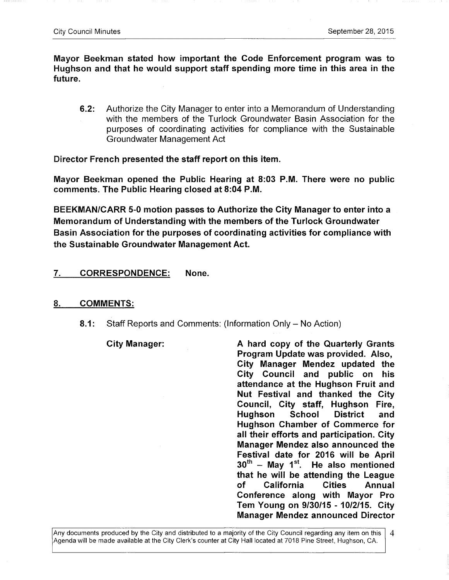**Mayor Beekman stated how important the Code Enforcement program was to Hughson and that he would support staff spending more time in this area in the future.** 

**6.2:** Authorize the City Manager to enter into a Memorandum of Understanding with the members of the Turlock Groundwater Basin Association for the purposes of coordinating activities for compliance with the Sustainable Groundwater Management Act

**Director French presented the staff report on this item.** 

**Mayor Beekman opened the Public Hearing at 8:03 P.M. There were no public comments. The Public Hearing closed at 8:04 P.M.** 

**BEEKMAN/CARR 5-0 motion passes to Authorize the City Manager to enter into a Memorandum of Understanding with the members of the Turlock Groundwater Basin Association for the purposes of coordinating activities for compliance with the Sustainable Groundwater Management Act.** 

#### **7. CORRESPONDENCE: None.**

#### 8. **COMMENTS:**

**8.1:** Staff Reports and Comments: (Information Only – No Action)

**City Manager: A hard copy of the Quarterly Grants Program Update was provided. Also, City Manager Mendez updated the City Council and public on his attendance at the Hughson Fruit and Nut Festival and thanked the City Council, City staff, Hughson Fire, Hughson School District and Hughson Chamber of Commerce for all their efforts and participation. City Manager Mendez also announced the Festival date for 2016 will be April**  30<sup>th</sup> - May 1<sup>st</sup>. He also mentioned **that he will be attending the League of California Cities Annual Conference along with Mayor Pro Tem Young on 9/30/15 - 10/2/15. City Manager Mendez announced Director**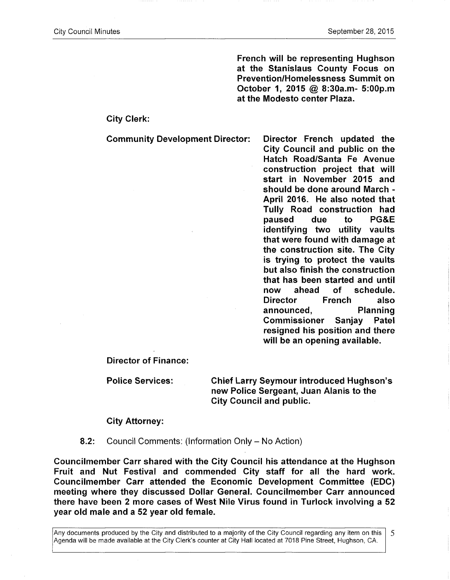**French will be representing Hughson at the Stanislaus County Focus on Prevention/Homelessness Summit on October 1, 2015 @ 8:30a.m- 5:00p.m at the Modesto center Plaza.** 

**City Clerk:** 

**Community Development Director: Director French updated the** 

**City Council and public on the Hatch Road/Santa Fe Avenue construction project that will start in November 2015 and should be done around March - April 2016. He also noted that Tully Road construction had paused due to PG&E identifying two utility vaults that were found with damage at the construction site. The City is trying to protect the vaults but also finish the construction that has been started and until now ahead of schedule. Director French also announced, Planning Commissioner Sanjay Patel resigned his position and there will be an opening available.** 

**Director of Finance:** 

**Police Services: Chief Larry Seymour introduced Hughson's new Police Sergeant, Juan Alanis to the City Council and public.** 

**City Attorney:** 

**8.2:** Council Comments: (Information Only - No Action)

**Councilmember Carr shared with the City Council his attendance at the Hughson Fruit and Nut Festival and commended City staff for all the hard work. Councilmember Carr attended the Economic Development Committee (EDC) meeting where they discussed Dollar General. Councilmember Carr announced there have been 2 more cases of West Nile Virus found in Turlock involving a 52 year old male and a 52 year old female.** 

Any documents produced by the City and distributed to a majority of the City Council regarding any item on this 5 Agenda will be made available at the City Clerk's counter at City Hall located at 7018 Pine Street, Hughson, CA.